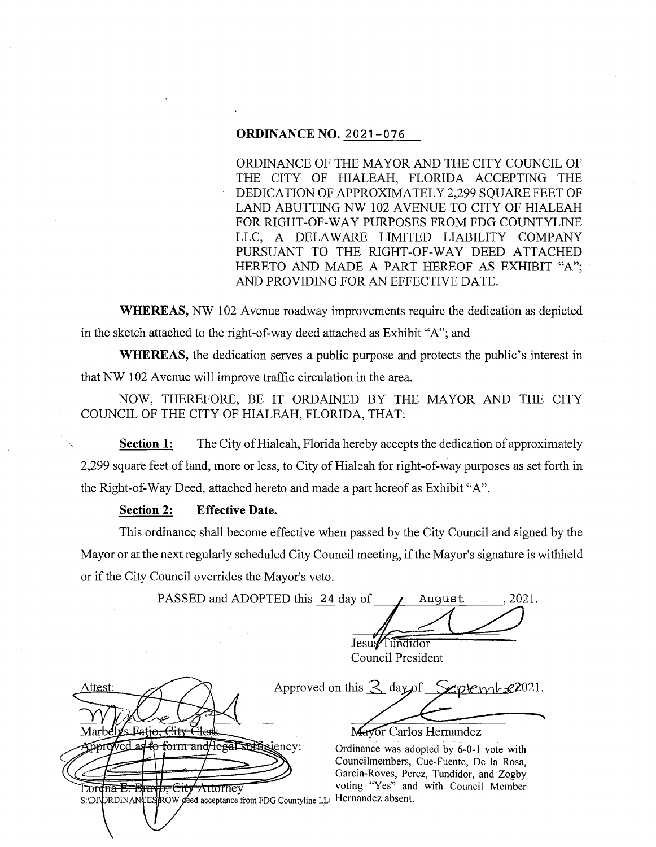# **ORDINANCE NO.** 2021-076

ORDINANCE OF THE MAYOR AND THE CITY COUNCIL OF THE CITY OF HIALEAH, FLORIDA ACCEPTING THE DEDICATION OF APPROXIMATELY 2,299 SQUARE FEET OF LAND ABUTTING NW 102 AVENUE TO CITY OF HIALEAH FOR RIGHT-OF-WAY PURPOSES FROM FDG COUNTYLINE LLC, A DELAWARE LIMITED LIABILITY COMPANY PURSUANT TO THE RIGHT-OF-WAY DEED ATTACHED HERETO AND MADE A PART HEREOF AS EXHIBIT "A"; AND PROVIDING FOR AN EFFECTIVE DATE.

**WHEREAS, NW** 102 Avenue roadway improvements require the dedication as depicted in the sketch attached to the right-of-way deed attached as Exhibit "A"; and

**WHEREAS,** the dedication serves a public purpose and protects the public's interest in that NW 102 Avenue will improve traffic circulation in the area.

NOW, THEREFORE, BE IT ORDAINED BY THE MAYOR AND THE CITY COUNCIL OF THE CITY OF HIALEAH, FLORIDA, THAT:

**Section 1:** The City of Hialeah, Florida hereby accepts the dedication of approximately 2,299 square feet of land, more or less, to City of Hialeah for right-of-way purposes as set forth in the Right-of-Way Deed, attached hereto and made a part hereof as Exhibit "A".

# **Section 2: Effective Date.**

This ordinance shall become effective when passed by the City Council and signed by the Mayor or at the next regularly scheduled City Council meeting, if the Mayor's signature is withheld or if the City Council overrides the Mayor's veto.

PASSED and ADOPTED this 24 day of / August , 2021. Jesus<sup>/Tundidor</sup> Council President

ttest، *ys* Fatio, City Marbel pproved as to form and legal sufficiency:

Approved on this  $\leq$  day of September 2021.

Mayor Carlos Hernandez

Ordinance was adopted by 6-0-1 vote with Councilmembers, Cue-Fuente, De la Rosa, Garcia-Roves, Perez, Tundidor, and Zogby<br>
Lorgina E. Brayp, City Attorney voting "Yes" and with Council Member Attorney voting "Yes" and with Council Member S:\DJ\DRDINAN\ES\ROW deed acceptance from FDG Countyline LL| Hernandez absent.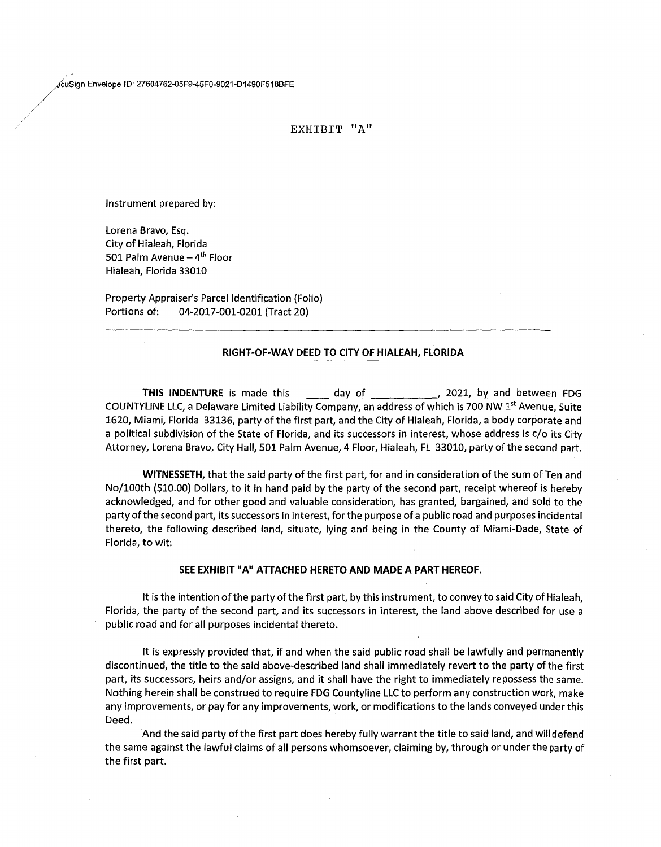/;Sig" 8welope ID' 27604762-05F9-45F0-9021-01490F516BFE

## EXHIBIT "A"

Instrument prepared by:

*./* 

Lorena Bravo, Esq. City of Hialeah, Florida 501 Palm Avenue  $-4$ <sup>th</sup> Floor Hialeah, Florida 33010

Property Appraiser's Parcel Identification (Folio) Portions of: 04-2017-001-0201 (Tract 20)

### **RIGHT-OF-WAY DEED TO CITY OF HIALEAH, FLORIDA**

**THIS INDENTURE** is made this \_\_\_\_\_ day of \_\_\_\_\_\_\_\_\_\_\_\_, 2021, by and between FDG COUNTYLINE LLC, a Delaware Limited Liability Company, an address of which is 700 NW 1<sup>st</sup> Avenue, Suite 1620, Miami, Florida 33136, party of the first part, and the City of Hialeah, Florida, a body corporate and a political subdivision of the State of Florida, and its successors in interest, whose address is c/o its City Attorney, Lorena Bravo, City Hall, 501 Palm Avenue, 4 Floor, Hialeah, FL 33010, party of the second part.

**WITNESSETH,** that the said party of the first part, for and in consideration of the sum of Ten and No/100th (\$10.00) Dollars, to it in hand paid by the party of the second part, receipt whereof is hereby acknowledged, and for other good and valuable consideration, has granted, bargained, and sold to the party of the second part, its successors in interest, for the purpose of a public road and purposes incidental thereto, the following described land, situate, lying and being in the County of Miami-Dade, State of Florida, to wit:

## **SEE EXHIBIT "A" ATTACHED HERETO AND MADE A PART HEREOF.**

It is the intention of the party of the first part, by this instrument, to convey to said City of Hialeah, Florida, the party of the second part, and its successors in interest, the land above described for use a public road and for all purposes incidental thereto.

It is expressly provided that, if and when the said public road shall be lawfully and permanently discontinued, the title to the said above-described land shall immediately revert to the party of the first part, its successors, heirs and/or assigns, and it shall have the right to immediately repossess the same. Nothing herein shall be construed to require FDG Countyline LLC to perform any construction work, make any improvements, or pay for any improvements, work, or modifications to the lands conveyed under this Deed.

And the said party of the first part does hereby fully warrant the title to said land, and will defend the same against the lawful claims of all persons whomsoever, claiming by, through or under the party of the first part.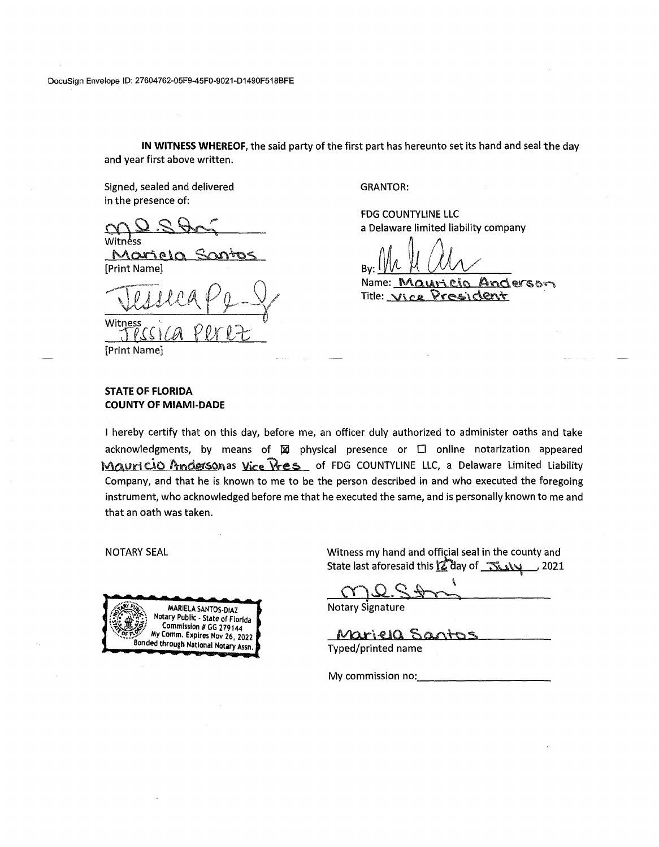DocuSign Envelope ID: 27604762-05F9-45F0-9021-D1490F518BFE

**IN WITNESS WHEREOF,** the said party of the first part has hereunto set its hand and seal the day and year first above written.

Signed, sealed and delivered in the presence of:

Witnéss.

<u>Morie</u> [Print Name]

\IIUJ~A, p *9- \_g(*  witness<br>Jesica perez

GRANTOR:

FOG COUNTYLINE LLC a Delaware limited liability company

By:  $\frac{1}{2}$   $\frac{1}{2}$   $\frac{1}{2}$   $\frac{1}{2}$   $\frac{1}{2}$   $\frac{1}{2}$   $\frac{1}{2}$   $\frac{1}{2}$   $\frac{1}{2}$   $\frac{1}{2}$   $\frac{1}{2}$   $\frac{1}{2}$   $\frac{1}{2}$   $\frac{1}{2}$   $\frac{1}{2}$   $\frac{1}{2}$   $\frac{1}{2}$   $\frac{1}{2}$   $\frac{1}{2}$   $\frac{1}{2}$   $\frac{1}{2}$   $\frac{1}{2$ 

Name: Mauricio Anderson  $T$ itle:  $V$ ice President

[Print Name]

## **STATE OF FLORIDA COUNTY OF MIAMI-DADE**

I hereby certify that on this day, before me, an officer duly authorized to administer oaths and take acknowledgments, by means of  $\boxtimes$  physical presence or  $\Box$  online notarization appeared Mauri cio Andersonas vice Vres of FDG COUNTYLINE LLC, a Delaware Limited Liability Company, and that he is known to me to be the person described in and who executed the foregoing instrument, who acknowledged before me that he executed the same, and is personally known to me and that an oath was taken.

NOTARY SEAL



Witness my hand and official seal in the county and State last aforesaid this  $\frac{1}{2}$  day of  $\frac{1}{2}$   $\frac{1}{2}$  2021

 $C\cup C$ .  $S$  .  $P$ Notary Signature

Mariela Sant Typed/printed name

My commission no: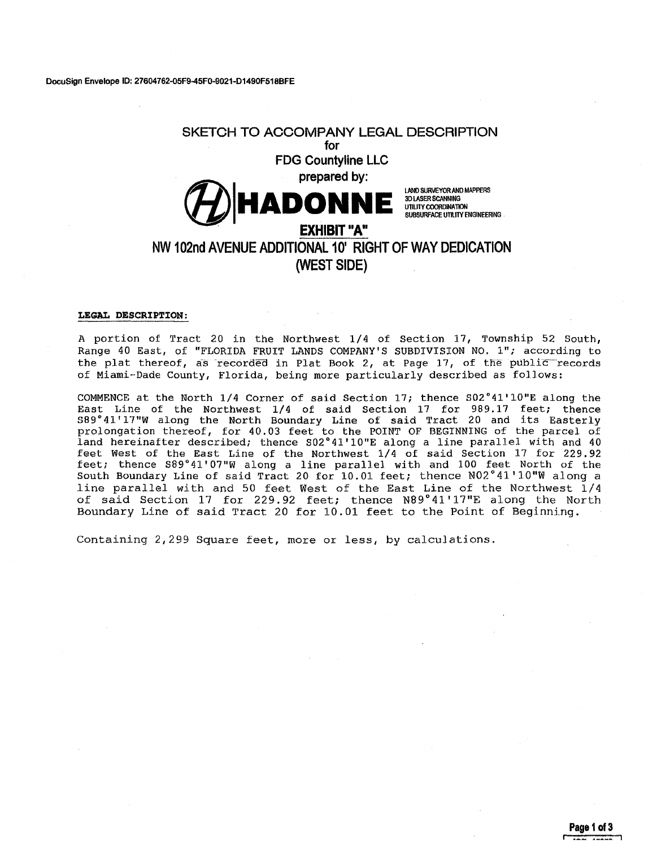# **SKETCH TO ACCOMPANY LEGAL DESCRIPTION for FOG Countyline LLC prepared by: EXHIBIT "A"**<br>EXHIBIT "A"<br>EXHIBIT "A" 30 LASER SCANNING UTILITY COORDINATION SUBSURFACE UTILITY ENGINEERING **NW 102nd AVENUE ADDITIONAL 10' RIGHT OF WAY DEDICATION (WEST SIDE)**

#### **LEGAL DESCRIPTION:**

A portion of Tract 20 in the Northwest 1/4 of Section 17, Township 52 South, Range 40 East, of "FLORIDA FRUIT LANDS COMPANY'S SUBDIVISION NO. 1"; according to the plat thereof, as recorded in Plat Book 2, at Page 17, of the public records of Miami-Dade County, Florida, being more particularly described as fo11ows:

COMMENCE at the North 1/4 Corner of said Section 17; thence S02°41'10"E along the East Line of the Northwest  $1/4$  of said Section 17 for 989.17 feet; thence S89°41'17"W along the North Boundary Line of said Tract 20 and its Easterly prolongation thereof, for 40.03 feet to the POINT OF BEGINNING of the parcel of land hereinafter described; thence S02°41'10"E along a line parallel with and 40 feet West of the East Line of the Northwest 1/4 of said Section 17 for 229.92 feet; thence S89° 41' 07"W along a line parallel with and 100 feet North of the South Boundary Line of said Tract 20 for 10.01 feet; thence N02°41'10"W along a line parallel with and 50 feet West of the East Line of the Northwest 1/4 of said Section 17 for 229.92 feet; thence N89°41'17"E along the North Boundary Line of said Tract 20 for 10.01 feet to the Point of Beginning.

Containing 2,299 Square feet, more or less, by calculations.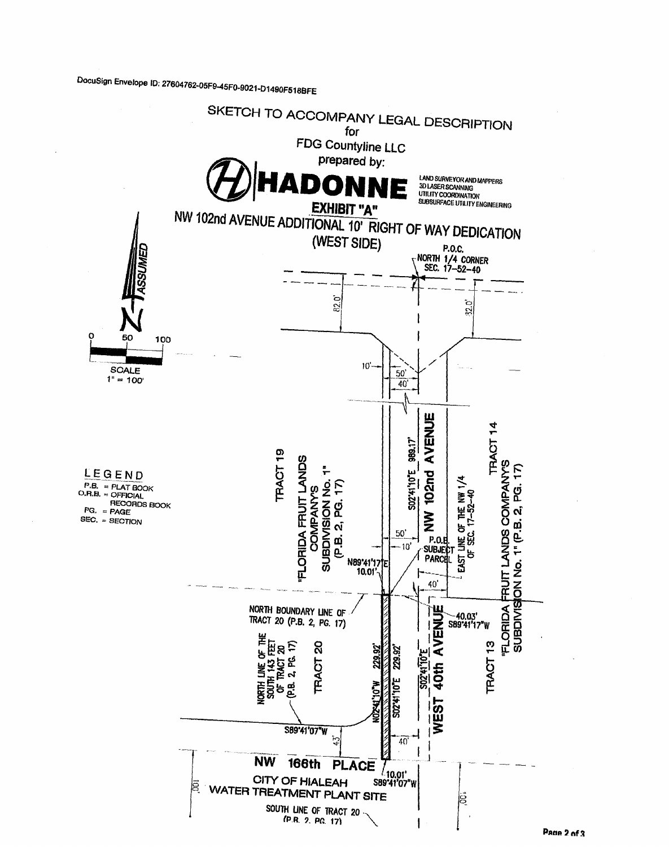DocuSign Envelope ID: 27604762-05F9-45F0-9021-D1490F518BFE

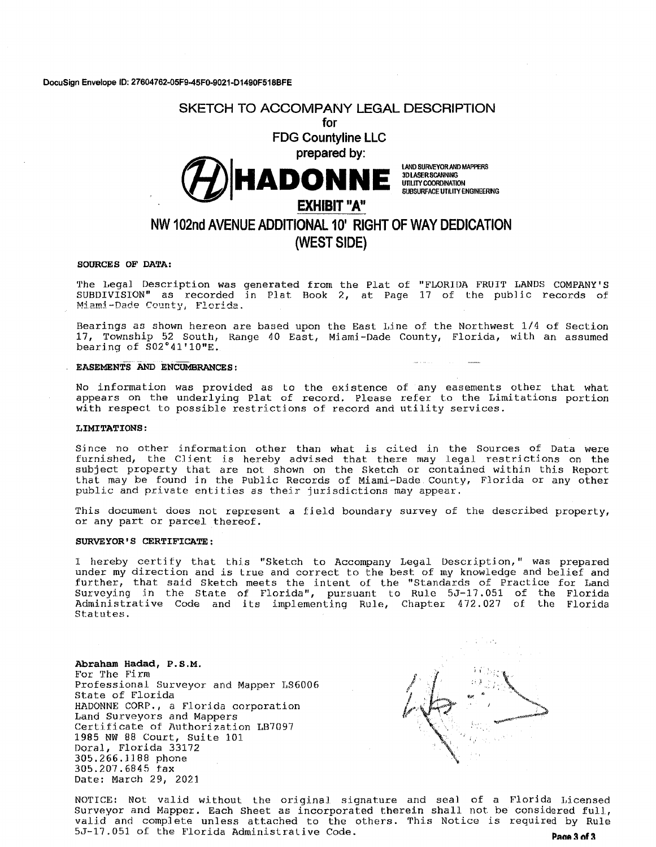# SKETCH TO ACCOMPANY LEGAL DESCRIPTION for FOG Countyline LLC prepared by:

**EXPLORANT SUBJER SCANDIS MOTHERS** 

3DLASERSCANNING UTILITY COORDINATION SUBSURFACE UTILITY ENGINEERING

# NW 102nd AVENUE ADDITIONAL 10' RIGHT OF WAY DEDICATION (WEST SIDE)

#### SOURCES OF DATA:

The Legal Description was generated from the Plat of "FLORIDA FRUIT LANDS COMPANY'S SUBDIVISION" as recorded in Plat Book 2, at Page 17 of the public records of Miami-Dade County, Florida.

Bearings as shown hereon are based upon the East l,ine of the Northwest 1/4 of Section 17, Township 52 South, Range 40 East, Miami-Dade County, Florida, with an assumed bearing of S02°41'10"E.

## EASEMENTS AND ENCUMBRANCES:

No information was provided as lo the existence of any easements other that what appears on the underlying Plat of record. Please refer to the Limitations portion with respect to possible restrictions of record and utility services.

#### LIMITATIONS:

Since no other information other than what is cited in the Sources of Data were furnished, the Client is hereby advised that there may legal restrictions on the subject property that are not shown on the Sketch or contained within this Report that may be found in the Public Records of Miami-Dade County, Florida or any other public and private entities as their jurisdictions may appear.

This document does not represent a field boundary survey of the described property, or any part or parcel thereof.

#### SURVEYOR'S CERTIFICATE:

I hereby certify that this "Sketch to Accompany Legal Description," was prepared under my direction and is true and correct to the best of my knowledge and belief and further, that said Sketch meets the intent of the "Standards of Practice for Land Surveying in the State of Florida", pursuant to Rule SJ-17.051 of the Florida Administrative Code and its implementing Rule, Chapter 472.027 of the Florida Statutes.

Abraham Hadad, P.S.M.

For The Firm Professional Surveyor and Mapper LS6006 State of Florida HADONNE CORP., a Florida corporation Land Surveyors and Mappers Certifjcate of Authorization LB7097 1985 NW 88 Court, Suite 101 Doral, Florida 33172 305.266.1188 phone 305.207.6845 tax Date: March 29, 2021



NOTICE: Not valid without the original signature and seal of a Florida Licensed Surveyor and Mapper. Each Sheet as incorporated therein shall not be considered full, valid and complete unless attached to the others. This Notice is required by Rule 5J-17.051 of the Florida Administrative Code. **Page 3 of 3**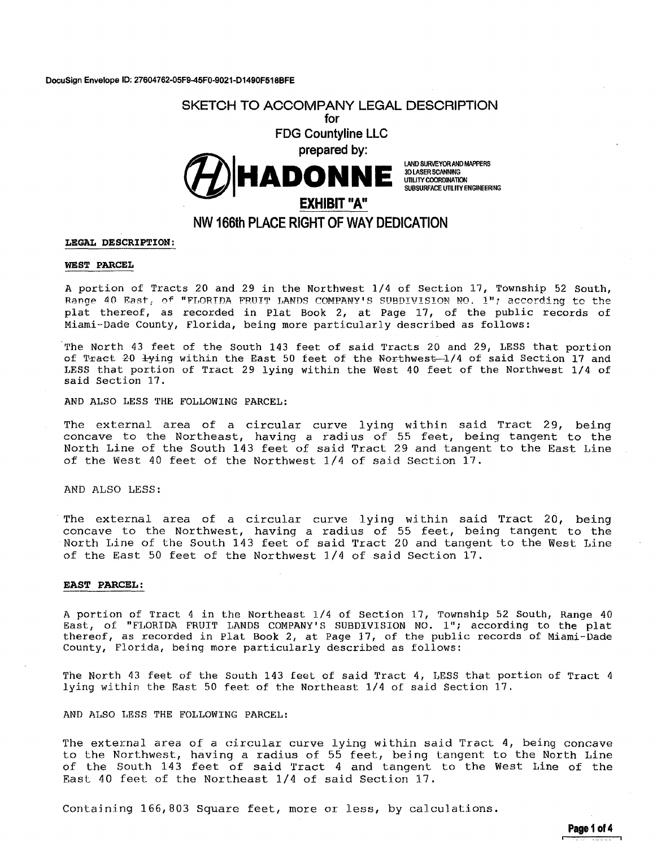**OocuSign Envelope ID: 27604762-05F9-45F0-9021-01490F518BFE** 



## **LEGAL DESCRIPTION:**

#### **WEST PARCEL**

A portion of Tracts 20 and 29 in the Northwest 1/4 of Section 17, Township 52 South, Range 40 East, of "FLORIDA FRUIT LANDS COMPANY'S SUBDIVISION NO. 1"; according to the plat thereof, as recorded in Plat Book 2, at Page 17, of the public records of Miami-Dade County, Florida, being more particularly described as follows:

The North 43 feet of the South 143 feet of said Tracts 20 and 29, LESS that portion of Tract 20  $\frac{1}{1}$ ying within the East 50 feet of the Northwest-1/4 of said Section 17 and LESS that portion of Tract 29 lying within the West 40 feet of the Northwest 1/4 of said Section 17.

AND ALSO LESS THE FOLLOWING PARCEL:

The external area of a circular curve lying within said Tract 29, being concave to the Northeast, having a radius of 55 feet, being tangent to the North Line of the South 143 feet of said Tract 29 and tangent to the East Line of the West 40 feet of the Northwest 1/4 of said Section 17.

AND ALSO LESS:

The external area of a circular curve lying within said Tract 20, being concave to the Northwest, having a radius of 55 feet, being tangent to the North Line of the South 143 feet of said Tract 20 and tangent to the West Line of the East 50 feet of the Northwest 1/4 of said Section 17.

### **EAST PARCEL:**

A portion of Tract 4 in the Northeast 1/4 of Section 17, Township 52 South, Range 40 East, of "FLORIDA FRUIT LANDS COMPANY'S SUBDIVISION NO. 1"; according to the plat thereof, as recorded in Plat Book 2, at Page 17, of the public records of Miami-Dade County, Florida, being more particularly described as follows:

The North 43 feet of the South 143 feet of said Tract 4, LESS that portion of Tract 4 lying within the East 50 feet of the Northeast 1/4 of said Section 17.

AND AI.SO LESS THE FOLLOWING PARCEL:

The external area of a circular curve lying within said Tract 4, being concave to the Northwest, having a radius of 55 feet, being tangent to the North Line of the South 143 feet of said Tract 4 and tangent to the West Line of the East *40* feet of the Northeast 1/4 of said Section 17.

Containing 166,803 Square feet, more or less, by calculations.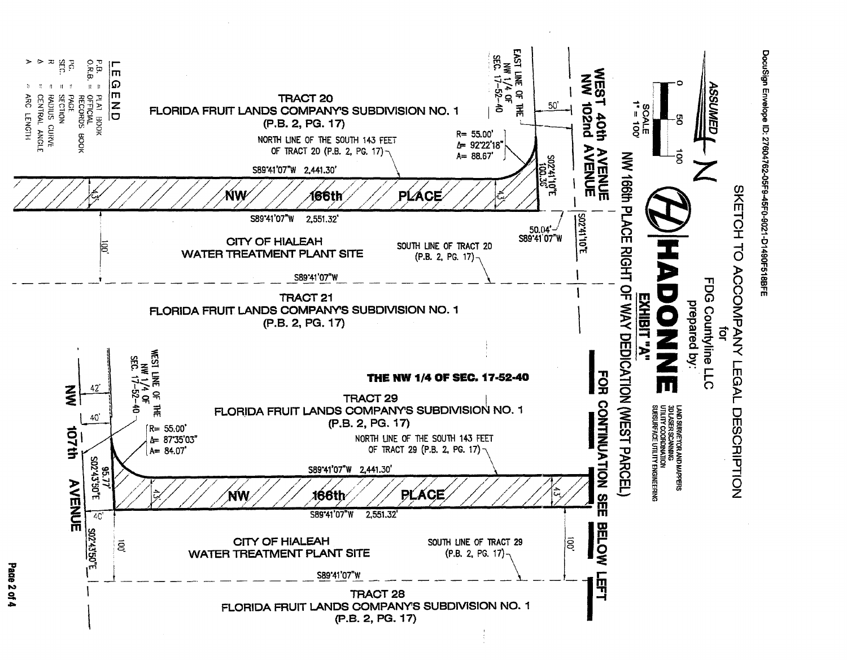

DocuSign Envelope ID: 27604762-05F9-45F0-9021-D1490F518BFE

Page 2 of 4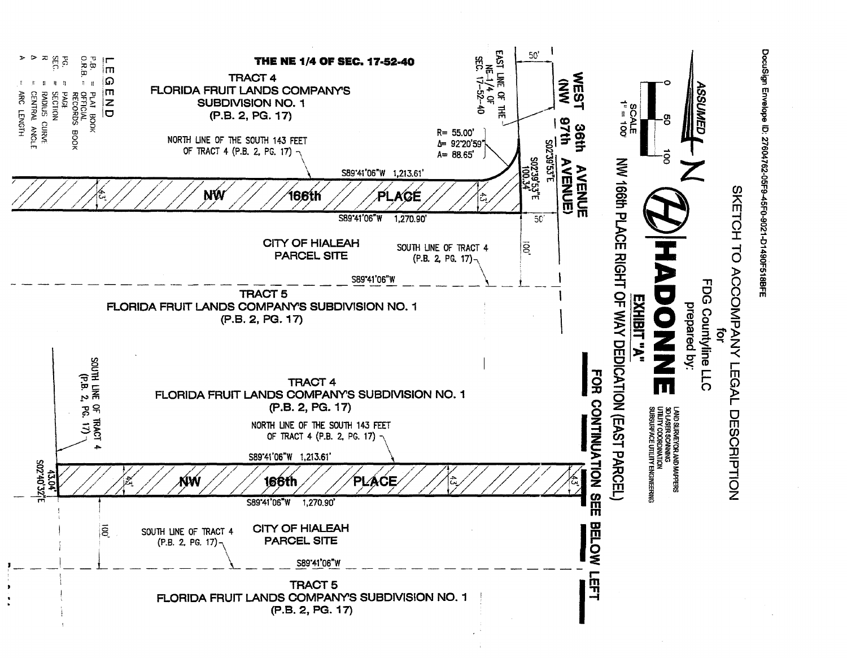